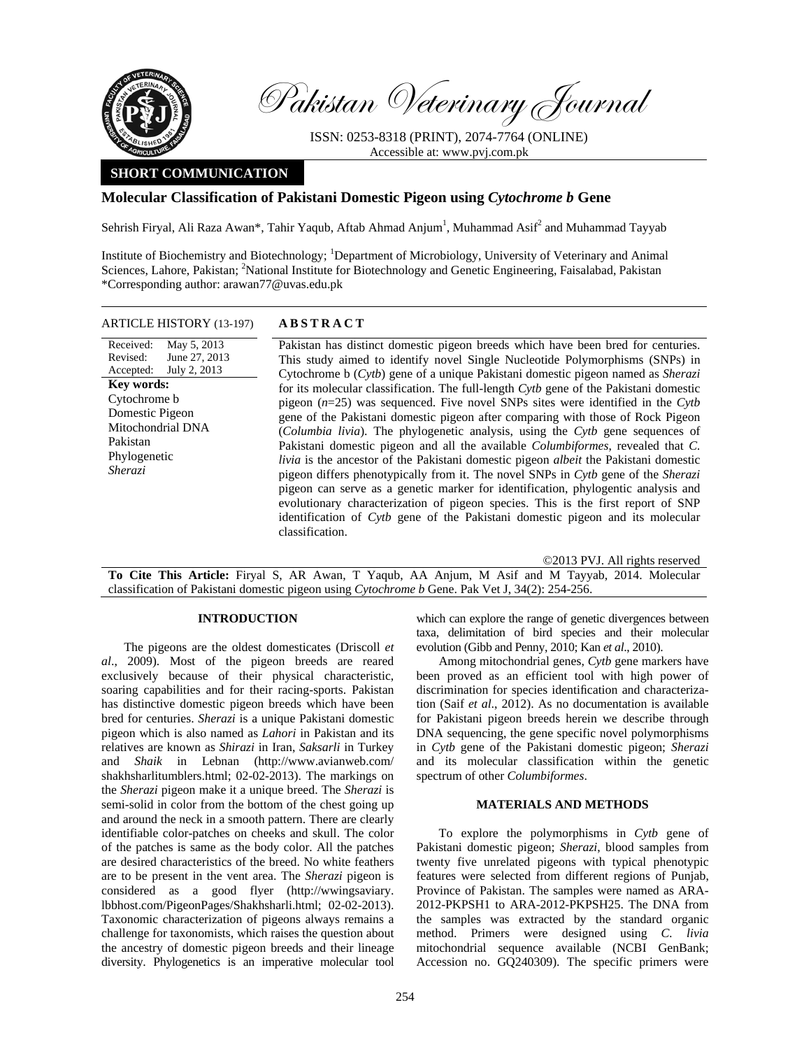

Received: Revised: Accepted:

Pakistan Phylogenetic *Sherazi*

**Key words:**  Cytochrome b Domestic Pigeon

Pakistan Veterinary Journal

ISSN: 0253-8318 (PRINT), 2074-7764 (ONLINE) Accessible at: www.pvj.com.pk

# **SHORT COMMUNICATION**

# **Molecular Classification of Pakistani Domestic Pigeon using** *Cytochrome b* **Gene**

Sehrish Firyal, Ali Raza Awan\*, Tahir Yaqub, Aftab Ahmad Anjum<sup>1</sup>, Muhammad Asif<sup>2</sup> and Muhammad Tayyab

Institute of Biochemistry and Biotechnology; <sup>1</sup>Department of Microbiology, University of Veterinary and Animal Sciences, Lahore, Pakistan; <sup>2</sup>National Institute for Biotechnology and Genetic Engineering, Faisalabad, Pakistan \*Corresponding author: arawan77@uvas.edu.pk

### ARTICLE HISTORY (13-197) **ABSTRACT**

May 5, 2013 June 27, 2013 July 2, 2013 Pakistan has distinct domestic pigeon breeds which have been bred for centuries. This study aimed to identify novel Single Nucleotide Polymorphisms (SNPs) in Cytochrome b (*Cytb*) gene of a unique Pakistani domestic pigeon named as *Sherazi* for its molecular classification. The full-length *Cytb* gene of the Pakistani domestic pigeon (*n*=25) was sequenced. Five novel SNPs sites were identified in the *Cytb* gene of the Pakistani domestic pigeon after comparing with those of Rock Pigeon (*Columbia livia*). The phylogenetic analysis, using the *Cytb* gene sequences of Pakistani domestic pigeon and all the available *Columbiformes*, revealed that *C. livia* is the ancestor of the Pakistani domestic pigeon *albeit* the Pakistani domestic pigeon differs phenotypically from it. The novel SNPs in *Cytb* gene of the *Sherazi* pigeon can serve as a genetic marker for identification, phylogentic analysis and evolutionary characterization of pigeon species. This is the first report of SNP identification of *Cytb* gene of the Pakistani domestic pigeon and its molecular classification. Mitochondrial DNA

©2013 PVJ. All rights reserved **To Cite This Article:** Firyal S, AR Awan, T Yaqub, AA Anjum, M Asif and M Tayyab, 2014. Molecular classification of Pakistani domestic pigeon using *Cytochrome b* Gene. Pak Vet J, 34(2): 254-256.

#### **INTRODUCTION**

The pigeons are the oldest domesticates (Driscoll *et al*., 2009). Most of the pigeon breeds are reared exclusively because of their physical characteristic, soaring capabilities and for their racing-sports. Pakistan has distinctive domestic pigeon breeds which have been bred for centuries. *Sherazi* is a unique Pakistani domestic pigeon which is also named as *Lahori* in Pakistan and its relatives are known as *Shirazi* in Iran, *Saksarli* in Turkey and *Shaik* in Lebnan (http://www.avianweb.com/ shakhsharlitumblers.html; 02-02-2013). The markings on the *Sherazi* pigeon make it a unique breed. The *Sherazi* is semi-solid in color from the bottom of the chest going up and around the neck in a smooth pattern. There are clearly identifiable color-patches on cheeks and skull. The color of the patches is same as the body color. All the patches are desired characteristics of the breed. No white feathers are to be present in the vent area. The *Sherazi* pigeon is considered as a good flyer (http://wwingsaviary. lbbhost.com/PigeonPages/Shakhsharli.html; 02-02-2013). Taxonomic characterization of pigeons always remains a challenge for taxonomists, which raises the question about the ancestry of domestic pigeon breeds and their lineage diversity. Phylogenetics is an imperative molecular tool which can explore the range of genetic divergences between taxa, delimitation of bird species and their molecular evolution (Gibb and Penny, 2010; Kan *et al*., 2010).

Among mitochondrial genes, *Cytb* gene markers have been proved as an efficient tool with high power of discrimination for species identification and characterization (Saif *et al*., 2012). As no documentation is available for Pakistani pigeon breeds herein we describe through DNA sequencing, the gene specific novel polymorphisms in *Cytb* gene of the Pakistani domestic pigeon; *Sherazi* and its molecular classification within the genetic spectrum of other *Columbiformes*.

### **MATERIALS AND METHODS**

To explore the polymorphisms in *Cytb* gene of Pakistani domestic pigeon; *Sherazi*, blood samples from twenty five unrelated pigeons with typical phenotypic features were selected from different regions of Punjab, Province of Pakistan. The samples were named as ARA-2012-PKPSH1 to ARA-2012-PKPSH25. The DNA from the samples was extracted by the standard organic method. Primers were designed using *C. livia* mitochondrial sequence available (NCBI GenBank; Accession no. GQ240309). The specific primers were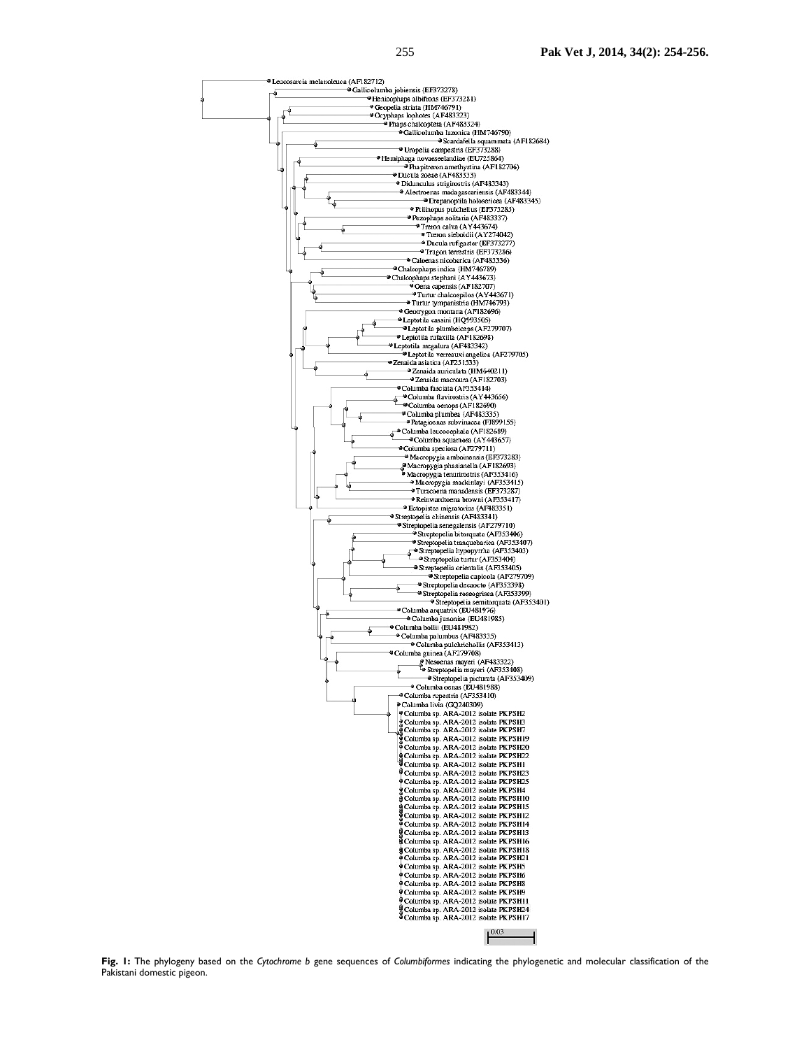

**Fig. 1:** The phylogeny based on the *Cytochrome b* gene sequences of *Columbiformes* indicating the phylogenetic and molecular classification of the Pakistani domestic pigeon.